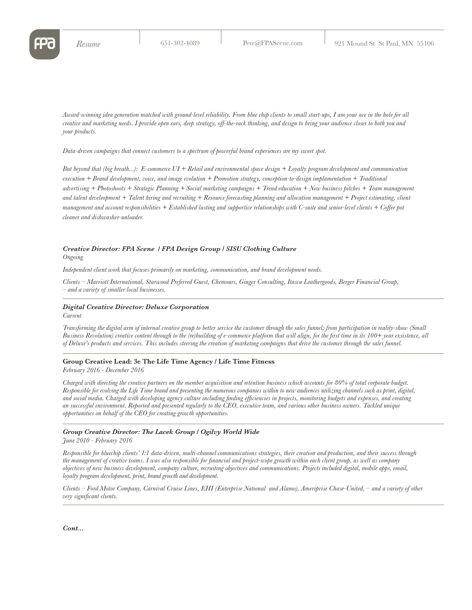*Award-winning idea generation matched with ground-level reliability. From blue chip clients to small start-ups, I am your ace in the hole for all creative and marketing needs. I provide open ears, deep strategy, off-the-rack thinking, and design to bring your audience closer to both you and your products.*

*Data-driven campaigns that connect customers to a spectrum of powerful brand experiences are my sweet spot.* 

*But beyond that (big breath...): E-commerce UI + Retail and environmental space design + Loyalty program development and communication execution + Brand development, voice, and image evolution + Promotion strategy, conception-to-design implamentation + Traditional advertising + Photoshoots + Strategic Planning + Social marketing campaigns + Trend education + New business pitches + Team management and talent develeopment + Talent hiring and recruiting + Resource forecasting planning and allocation management + Project estimating, client management and account responsibilities + Established lasting and supportive relationships with C-suite and senior-level clients + Coffee pot cleaner and dishwasher-unloader.*

## *Creative Director: FPA Scene / FPA Design Group / SISU Clothing Culture Ongoing*

*Independent client work that focuses primarily on marketing, communication, and brand development needs.*

*Clients – Marriott International, Starwood Preferred Guest, Chemours, Ginger Consulting, Itasca Leathergoods, Berger Financial Group, – and a variety of smaller local businesses.*

#### *Digital Creative Director: Deluxe Corporation*

*Current*

*Transforming the digital arm of internal creative group to better service the customer through the sales funnel; from participation in reality-show (Small Business Revolution) creative content through to the (re)building of e-commerce platform that will align, for the first time in its 100+ year exsistence, all of Deluxe's products and services. This includes steering the creation of marketing campaigns that drive the customer through the sales funnel.*

# **Group Creative Lead: 3e The Life Time Agency / Life Time Fitness**

*February 2016 - December 2016*

*Charged with directing the creative partners on the member acquisition and retention business which accounts for 80% of total corporate budget. Responsible for evolving the Life Time brand and presenting the numerous companies within to new audiences utilizing channels such as print, digital, and social media. Charged with developing agency culture including finding efficiencies in projects, monitoring budgets and expenses, and creating an successful environment. Reported and presented regularly to the CEO, executive team, and various other business owners. Tackled unique opportunities on behalf of the CEO for creating growth opportunities.* 

# *Group Creative Director: The Lacek Group / Ogilvy World Wide*

*June 2010 - February 2016*

*Responsible for bluechip clients' 1:1 data-driven, multi-channel communications strategies, their creation and production, and their success through the management of creative teams. I was also responsible for financial and project-scope growth within each client group, as well as company objectives of new business development, company culture, recruiting objectives and communications. Projects included digital, mobile apps, email, loyalty program development, print, brand growth and development.* 

*Clients – Ford Motor Company, Carnival Cruise Lines, EHI (Enterprise National and Alamo), Ameriprise Chase-United, – and a variety of other very significant clients.*

*Cont...*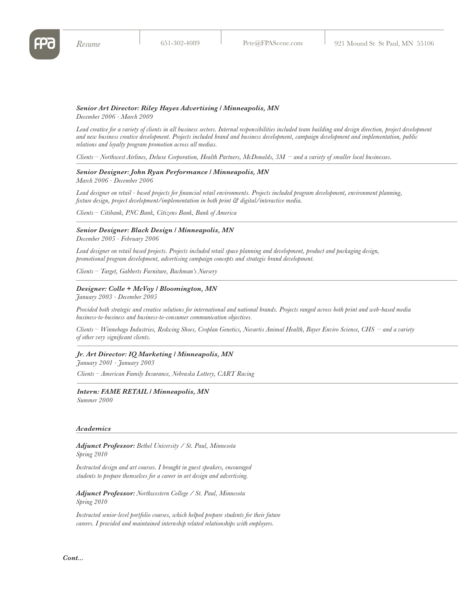## *Senior Art Director: Riley Hayes Advertising / Minneapolis, MN December 2006 - March 2009*

Lead creative for a variety of clients in all business sectors. Internal responsibilities included team building and design direction, project development *and new business creative development. Projects included brand and business development, campaign development and implementation, public relations and loyalty program promotion across all medias.*

*Clients – Northwest Airlines, Deluxe Corporation, Health Partners, McDonalds, 3M – and a variety of smaller local businesses.*

## *Senior Designer: John Ryan Performance / Minneapolis, MN March 2006 - December 2006*

*Lead designer on retail - based projects for financial retail environments. Projects included program development, environment planning, fixture design, project development/implementation in both print & digital/interactive media.* 

*Clients – Citibank, PNC Bank, Citizens Bank, Bank of America*

# *Senior Designer: Black Design / Minneapolis, MN*

*December 2005 - February 2006*

*Lead designer on retail based projects. Projects included retail space planning and development, product and packaging design, promotional program development, advertising campaign concepts and strategic brand development.* 

*Clients – Target, Gabberts Furniture, Bachman's Nursery*

#### *Designer: Colle + McVoy / Bloomington, MN*

*January 2003 - December 2005*

*Provided both strategic and creative solutions for international and national brands. Projects ranged across both print and web-based media business-to-business and business-to-consumer communication objectives.* 

*Clients – Winnebago Industries, Redwing Shoes, Croplan Genetics, Novartis Animal Health, Bayer Enviro Science, CHS – and a variety of other very significant clients.*

## *Jr. Art Director: IQ Marketing / Minneapolis, MN*

*January 2001 - January 2003*

*Clients – American Family Insurance, Nebraska Lottery, CART Racing*

# *Intern: FAME RETAIL / Minneapolis, MN*

*Summer 2000*

#### *Academics*

*Adjunct Professor: Bethel University / St. Paul, Minnesota Spring 2010*

*Instructed design and art courses. I brought in guest speakers, encouraged students to prepare themselves for a career in art design and advertising.*

*Adjunct Professor: Northwestern College / St. Paul, Minnesota Spring 2010*

*Instructed senior-level portfolio courses, which helped prepare students for their future careers. I provided and maintained internship related relationships with employers.*